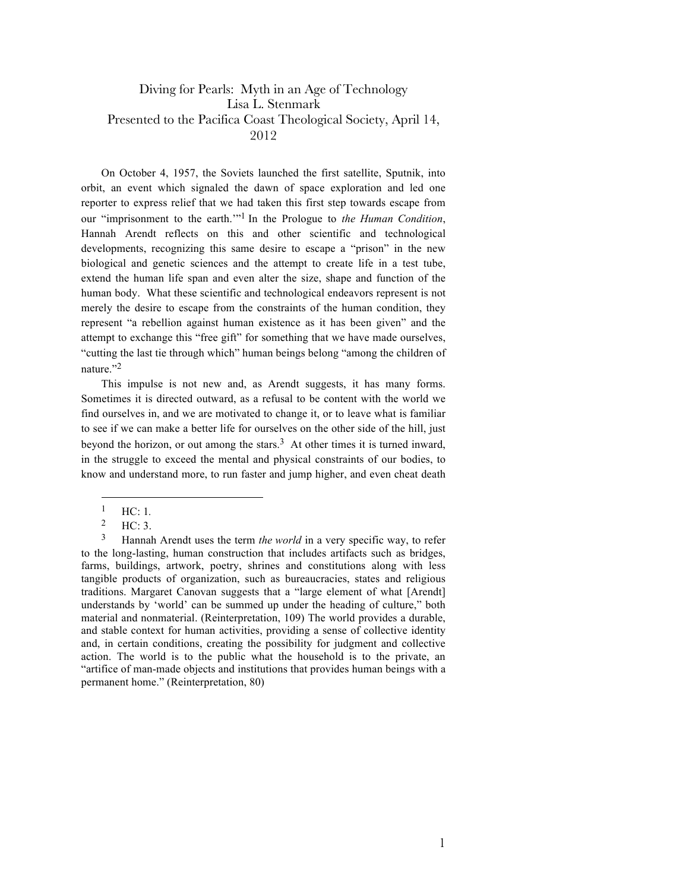#### Diving for Pearls: Myth in an Age of Technology Lisa L. Stenmark Presented to the Pacifica Coast Theological Society, April 14, 2012

On October 4, 1957, the Soviets launched the first satellite, Sputnik, into orbit, an event which signaled the dawn of space exploration and led one reporter to express relief that we had taken this first step towards escape from our "imprisonment to the earth.'"<sup>1</sup> In the Prologue to *the Human Condition*, Hannah Arendt reflects on this and other scientific and technological developments, recognizing this same desire to escape a "prison" in the new biological and genetic sciences and the attempt to create life in a test tube, extend the human life span and even alter the size, shape and function of the human body. What these scientific and technological endeavors represent is not merely the desire to escape from the constraints of the human condition, they represent "a rebellion against human existence as it has been given" and the attempt to exchange this "free gift" for something that we have made ourselves, "cutting the last tie through which" human beings belong "among the children of nature."2

This impulse is not new and, as Arendt suggests, it has many forms. Sometimes it is directed outward, as a refusal to be content with the world we find ourselves in, and we are motivated to change it, or to leave what is familiar to see if we can make a better life for ourselves on the other side of the hill, just beyond the horizon, or out among the stars.<sup>3</sup> At other times it is turned inward, in the struggle to exceed the mental and physical constraints of our bodies, to know and understand more, to run faster and jump higher, and even cheat death

 $\frac{1}{2}$  HC: 1.

 $\frac{2}{3}$  HC: 3.

<sup>3</sup> Hannah Arendt uses the term *the world* in a very specific way, to refer to the long-lasting, human construction that includes artifacts such as bridges, farms, buildings, artwork, poetry, shrines and constitutions along with less tangible products of organization, such as bureaucracies, states and religious traditions. Margaret Canovan suggests that a "large element of what [Arendt] understands by 'world' can be summed up under the heading of culture," both material and nonmaterial. (Reinterpretation, 109) The world provides a durable, and stable context for human activities, providing a sense of collective identity and, in certain conditions, creating the possibility for judgment and collective action. The world is to the public what the household is to the private, an "artifice of man-made objects and institutions that provides human beings with a permanent home." (Reinterpretation, 80)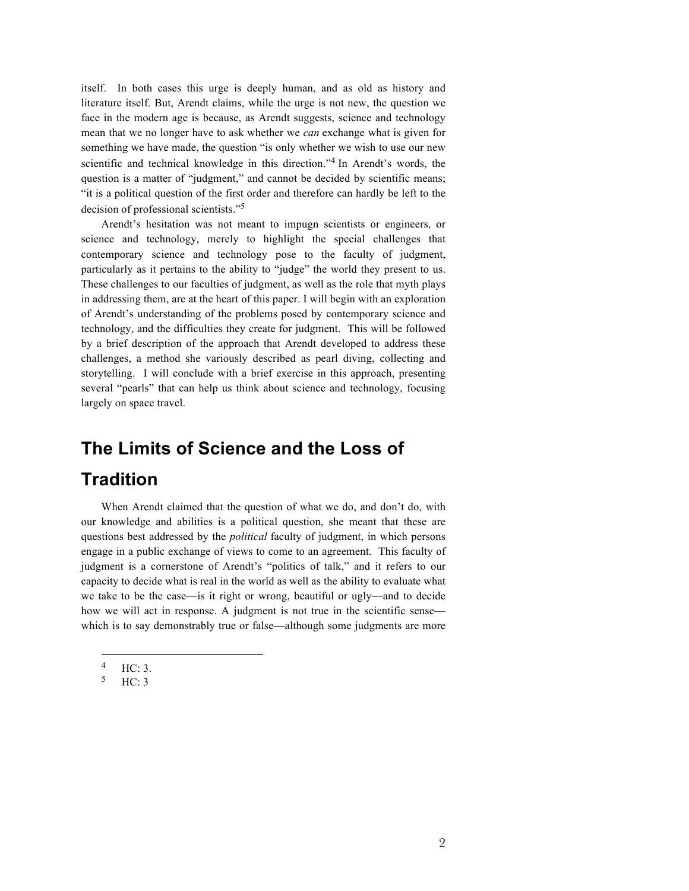itself. In both cases this urge is deeply human, and as old as history and literature itself. But, Arendt claims, while the urge is not new, the question we face in the modern age is because, as Arendt suggests, science and technology mean that we no longer have to ask whether we *can* exchange what is given for something we have made, the question "is only whether we wish to use our new scientific and technical knowledge in this direction."<sup>4</sup> In Arendt's words, the question is a matter of "judgment," and cannot be decided by scientific means; "it is a political question of the first order and therefore can hardly be left to the decision of professional scientists."<sup>5</sup>

Arendt's hesitation was not meant to impugn scientists or engineers, or science and technology, merely to highlight the special challenges that contemporary science and technology pose to the faculty of judgment, particularly as it pertains to the ability to "judge" the world they present to us. These challenges to our faculties of judgment, as well as the role that myth plays in addressing them, are at the heart of this paper. I will begin with an exploration of Arendt's understanding of the problems posed by contemporary science and technology, and the difficulties they create for judgment. This will be followed by a brief description of the approach that Arendt developed to address these challenges, a method she variously described as pearl diving, collecting and storytelling. I will conclude with a brief exercise in this approach, presenting several "pearls" that can help us think about science and technology, focusing largely on space travel.

# **The Limits of Science and the Loss of Tradition**

When Arendt claimed that the question of what we do, and don't do, with our knowledge and abilities is a political question, she meant that these are questions best addressed by the *political* faculty of judgment, in which persons engage in a public exchange of views to come to an agreement. This faculty of judgment is a cornerstone of Arendt's "politics of talk," and it refers to our capacity to decide what is real in the world as well as the ability to evaluate what we take to be the case—is it right or wrong, beautiful or ugly—and to decide how we will act in response. A judgment is not true in the scientific sense which is to say demonstrably true or false—although some judgments are more

 $4 \text{ HC: 3.}$ 

<sup>5</sup> HC: 3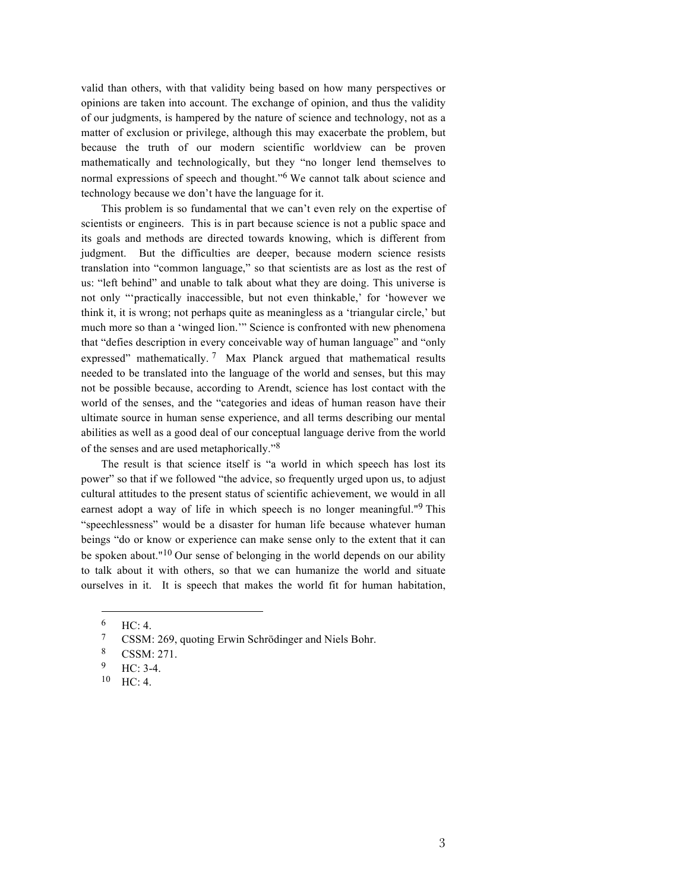valid than others, with that validity being based on how many perspectives or opinions are taken into account. The exchange of opinion, and thus the validity of our judgments, is hampered by the nature of science and technology, not as a matter of exclusion or privilege, although this may exacerbate the problem, but because the truth of our modern scientific worldview can be proven mathematically and technologically, but they "no longer lend themselves to normal expressions of speech and thought."<sup>6</sup> We cannot talk about science and technology because we don't have the language for it.

This problem is so fundamental that we can't even rely on the expertise of scientists or engineers. This is in part because science is not a public space and its goals and methods are directed towards knowing, which is different from judgment. But the difficulties are deeper, because modern science resists translation into "common language," so that scientists are as lost as the rest of us: "left behind" and unable to talk about what they are doing. This universe is not only "'practically inaccessible, but not even thinkable,' for 'however we think it, it is wrong; not perhaps quite as meaningless as a 'triangular circle,' but much more so than a 'winged lion.'" Science is confronted with new phenomena that "defies description in every conceivable way of human language" and "only expressed" mathematically. <sup>7</sup> Max Planck argued that mathematical results needed to be translated into the language of the world and senses, but this may not be possible because, according to Arendt, science has lost contact with the world of the senses, and the "categories and ideas of human reason have their ultimate source in human sense experience, and all terms describing our mental abilities as well as a good deal of our conceptual language derive from the world of the senses and are used metaphorically."<sup>8</sup>

The result is that science itself is "a world in which speech has lost its power" so that if we followed "the advice, so frequently urged upon us, to adjust cultural attitudes to the present status of scientific achievement, we would in all earnest adopt a way of life in which speech is no longer meaningful."9 This "speechlessness" would be a disaster for human life because whatever human beings "do or know or experience can make sense only to the extent that it can be spoken about."10 Our sense of belonging in the world depends on our ability to talk about it with others, so that we can humanize the world and situate ourselves in it. It is speech that makes the world fit for human habitation,

- $9$  HC: 3-4.
- <sup>10</sup> HC: 4.

 $\frac{6}{7}$  HC: 4.

CSSM: 269, quoting Erwin Schrödinger and Niels Bohr.

<sup>8</sup> CSSM: 271.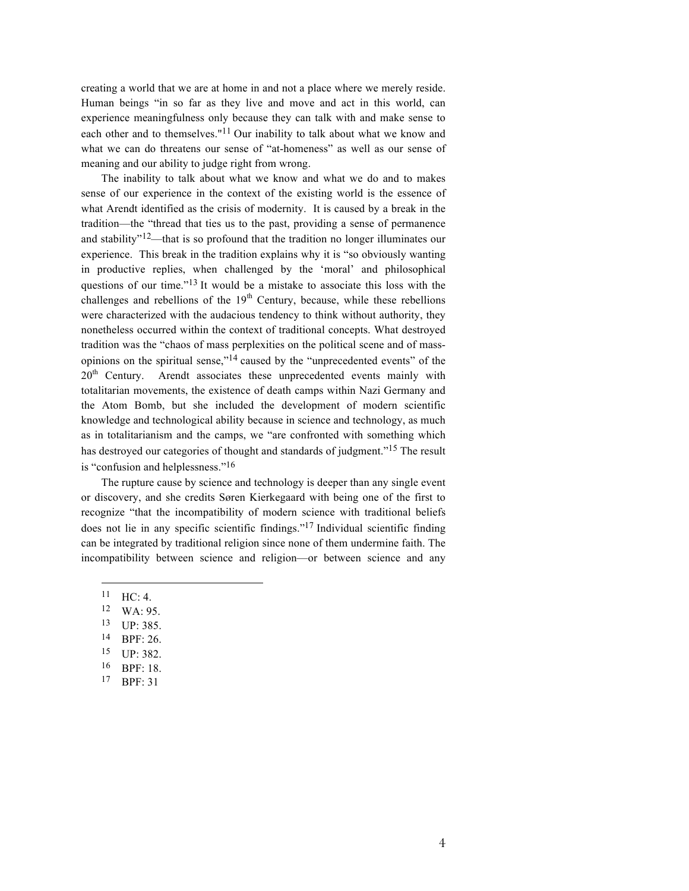creating a world that we are at home in and not a place where we merely reside. Human beings "in so far as they live and move and act in this world, can experience meaningfulness only because they can talk with and make sense to each other and to themselves."<sup>11</sup> Our inability to talk about what we know and what we can do threatens our sense of "at-homeness" as well as our sense of meaning and our ability to judge right from wrong.

The inability to talk about what we know and what we do and to makes sense of our experience in the context of the existing world is the essence of what Arendt identified as the crisis of modernity. It is caused by a break in the tradition—the "thread that ties us to the past, providing a sense of permanence and stability $12$ —that is so profound that the tradition no longer illuminates our experience. This break in the tradition explains why it is "so obviously wanting in productive replies, when challenged by the 'moral' and philosophical questions of our time."<sup>13</sup> It would be a mistake to associate this loss with the challenges and rebellions of the  $19<sup>th</sup>$  Century, because, while these rebellions were characterized with the audacious tendency to think without authority, they nonetheless occurred within the context of traditional concepts. What destroyed tradition was the "chaos of mass perplexities on the political scene and of massopinions on the spiritual sense,"14 caused by the "unprecedented events" of the  $20<sup>th</sup>$  Century. Arendt associates these unprecedented events mainly with totalitarian movements, the existence of death camps within Nazi Germany and the Atom Bomb, but she included the development of modern scientific knowledge and technological ability because in science and technology, as much as in totalitarianism and the camps, we "are confronted with something which has destroyed our categories of thought and standards of judgment."15 The result is "confusion and helplessness."<sup>16</sup>

The rupture cause by science and technology is deeper than any single event or discovery, and she credits Søren Kierkegaard with being one of the first to recognize "that the incompatibility of modern science with traditional beliefs does not lie in any specific scientific findings."17 Individual scientific finding can be integrated by traditional religion since none of them undermine faith. The incompatibility between science and religion—or between science and any

 $11 \text{ HC}: 4.$ 

- <sup>12</sup> WA: 95.
- <sup>13</sup> UP: 385.
- <sup>14</sup> BPF: 26.
- <sup>15</sup> UP: 382.
- <sup>16</sup> BPF: 18.
- <sup>17</sup> BPF: 31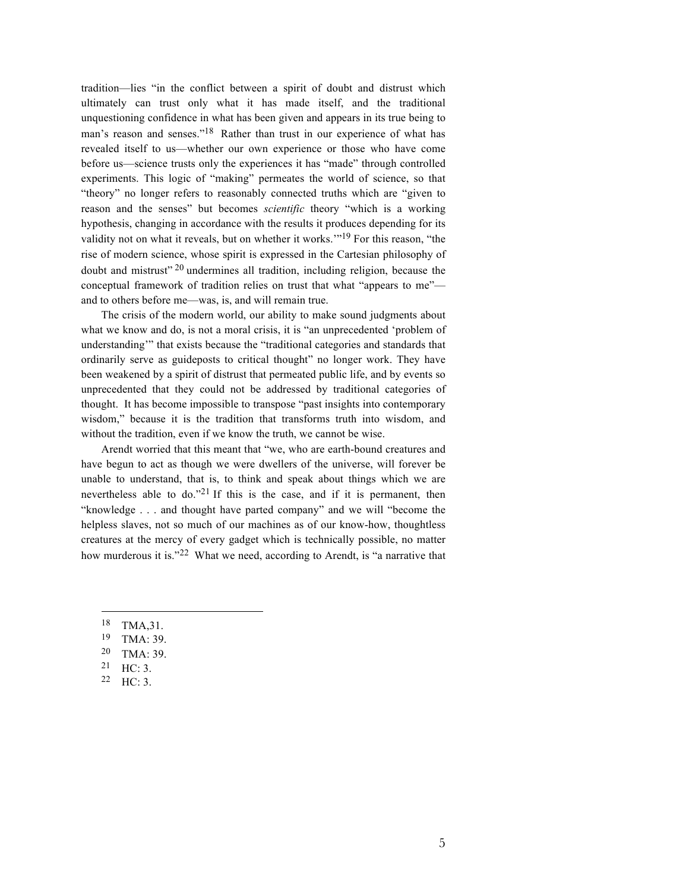tradition—lies "in the conflict between a spirit of doubt and distrust which ultimately can trust only what it has made itself, and the traditional unquestioning confidence in what has been given and appears in its true being to man's reason and senses."<sup>18</sup> Rather than trust in our experience of what has revealed itself to us—whether our own experience or those who have come before us—science trusts only the experiences it has "made" through controlled experiments. This logic of "making" permeates the world of science, so that "theory" no longer refers to reasonably connected truths which are "given to reason and the senses" but becomes *scientific* theory "which is a working hypothesis, changing in accordance with the results it produces depending for its validity not on what it reveals, but on whether it works.'"19 For this reason, "the rise of modern science, whose spirit is expressed in the Cartesian philosophy of doubt and mistrust" 20 undermines all tradition, including religion, because the conceptual framework of tradition relies on trust that what "appears to me" and to others before me—was, is, and will remain true.

The crisis of the modern world, our ability to make sound judgments about what we know and do, is not a moral crisis, it is "an unprecedented 'problem of understanding'" that exists because the "traditional categories and standards that ordinarily serve as guideposts to critical thought" no longer work. They have been weakened by a spirit of distrust that permeated public life, and by events so unprecedented that they could not be addressed by traditional categories of thought. It has become impossible to transpose "past insights into contemporary wisdom," because it is the tradition that transforms truth into wisdom, and without the tradition, even if we know the truth, we cannot be wise.

Arendt worried that this meant that "we, who are earth-bound creatures and have begun to act as though we were dwellers of the universe, will forever be unable to understand, that is, to think and speak about things which we are nevertheless able to do."<sup>21</sup> If this is the case, and if it is permanent, then "knowledge . . . and thought have parted company" and we will "become the helpless slaves, not so much of our machines as of our know-how, thoughtless creatures at the mercy of every gadget which is technically possible, no matter how murderous it is."<sup>22</sup> What we need, according to Arendt, is "a narrative that

 $^{18}$  TMA, 31.<br> $^{19}$  TMA: 39

- TMA: 39.
- <sup>20</sup> TMA: 39.
- $21$  HC: 3.
- <sup>22</sup> HC: 3.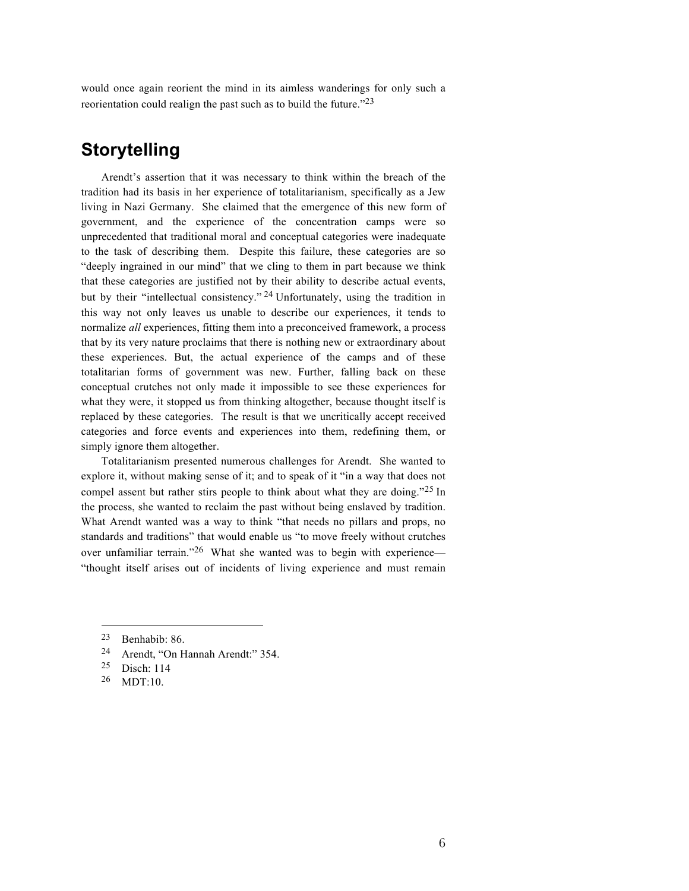would once again reorient the mind in its aimless wanderings for only such a reorientation could realign the past such as to build the future."23

## **Storytelling**

Arendt's assertion that it was necessary to think within the breach of the tradition had its basis in her experience of totalitarianism, specifically as a Jew living in Nazi Germany. She claimed that the emergence of this new form of government, and the experience of the concentration camps were so unprecedented that traditional moral and conceptual categories were inadequate to the task of describing them. Despite this failure, these categories are so "deeply ingrained in our mind" that we cling to them in part because we think that these categories are justified not by their ability to describe actual events, but by their "intellectual consistency." <sup>24</sup> Unfortunately, using the tradition in this way not only leaves us unable to describe our experiences, it tends to normalize *all* experiences, fitting them into a preconceived framework, a process that by its very nature proclaims that there is nothing new or extraordinary about these experiences. But, the actual experience of the camps and of these totalitarian forms of government was new. Further, falling back on these conceptual crutches not only made it impossible to see these experiences for what they were, it stopped us from thinking altogether, because thought itself is replaced by these categories. The result is that we uncritically accept received categories and force events and experiences into them, redefining them, or simply ignore them altogether.

Totalitarianism presented numerous challenges for Arendt. She wanted to explore it, without making sense of it; and to speak of it "in a way that does not compel assent but rather stirs people to think about what they are doing."<sup>25</sup> In the process, she wanted to reclaim the past without being enslaved by tradition. What Arendt wanted was a way to think "that needs no pillars and props, no standards and traditions" that would enable us "to move freely without crutches over unfamiliar terrain."<sup>26</sup> What she wanted was to begin with experience— "thought itself arises out of incidents of living experience and must remain

- <sup>24</sup> Arendt, "On Hannah Arendt:" 354.
- <sup>25</sup> Disch: 114
- <sup>26</sup> MDT:10.

 $23$  Benhabib: 86.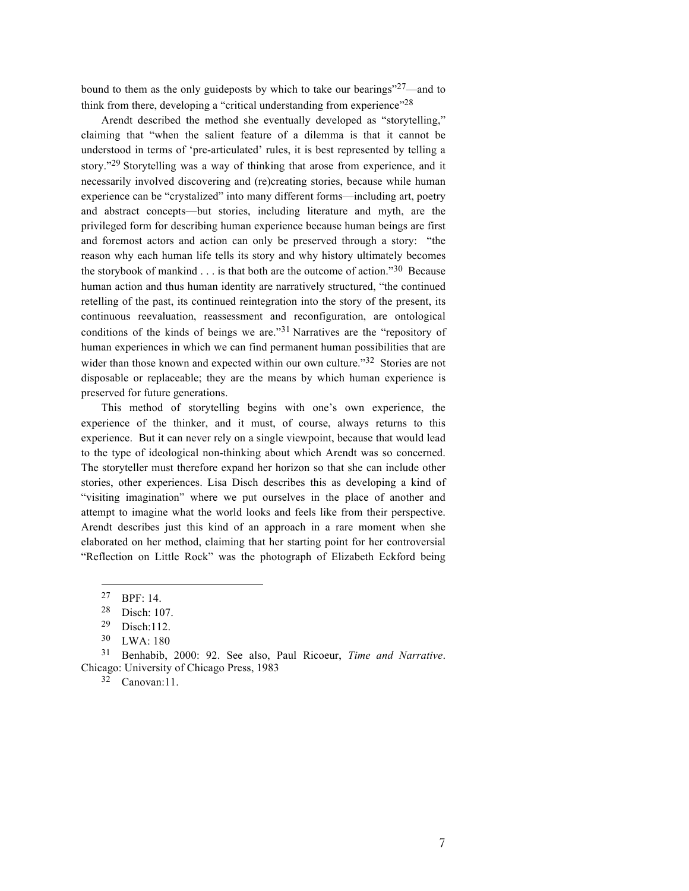bound to them as the only guideposts by which to take our bearings"<sup>27</sup>—and to think from there, developing a "critical understanding from experience"28

Arendt described the method she eventually developed as "storytelling," claiming that "when the salient feature of a dilemma is that it cannot be understood in terms of 'pre-articulated' rules, it is best represented by telling a story."29 Storytelling was a way of thinking that arose from experience, and it necessarily involved discovering and (re)creating stories, because while human experience can be "crystalized" into many different forms—including art, poetry and abstract concepts—but stories, including literature and myth, are the privileged form for describing human experience because human beings are first and foremost actors and action can only be preserved through a story: "the reason why each human life tells its story and why history ultimately becomes the storybook of mankind . . . is that both are the outcome of action."30 Because human action and thus human identity are narratively structured, "the continued retelling of the past, its continued reintegration into the story of the present, its continuous reevaluation, reassessment and reconfiguration, are ontological conditions of the kinds of beings we are."<sup>31</sup> Narratives are the "repository of human experiences in which we can find permanent human possibilities that are wider than those known and expected within our own culture."<sup>32</sup> Stories are not disposable or replaceable; they are the means by which human experience is preserved for future generations.

This method of storytelling begins with one's own experience, the experience of the thinker, and it must, of course, always returns to this experience. But it can never rely on a single viewpoint, because that would lead to the type of ideological non-thinking about which Arendt was so concerned. The storyteller must therefore expand her horizon so that she can include other stories, other experiences. Lisa Disch describes this as developing a kind of "visiting imagination" where we put ourselves in the place of another and attempt to imagine what the world looks and feels like from their perspective. Arendt describes just this kind of an approach in a rare moment when she elaborated on her method, claiming that her starting point for her controversial "Reflection on Little Rock" was the photograph of Elizabeth Eckford being

 $\overline{a}$ 

<sup>32</sup> Canovan:11.

<sup>27</sup> BPF: 14.

<sup>28</sup> Disch: 107.

<sup>29</sup> Disch:112.

<sup>30</sup> LWA: 180

<sup>31</sup> Benhabib, 2000: 92. See also, Paul Ricoeur, *Time and Narrative*. Chicago: University of Chicago Press, 1983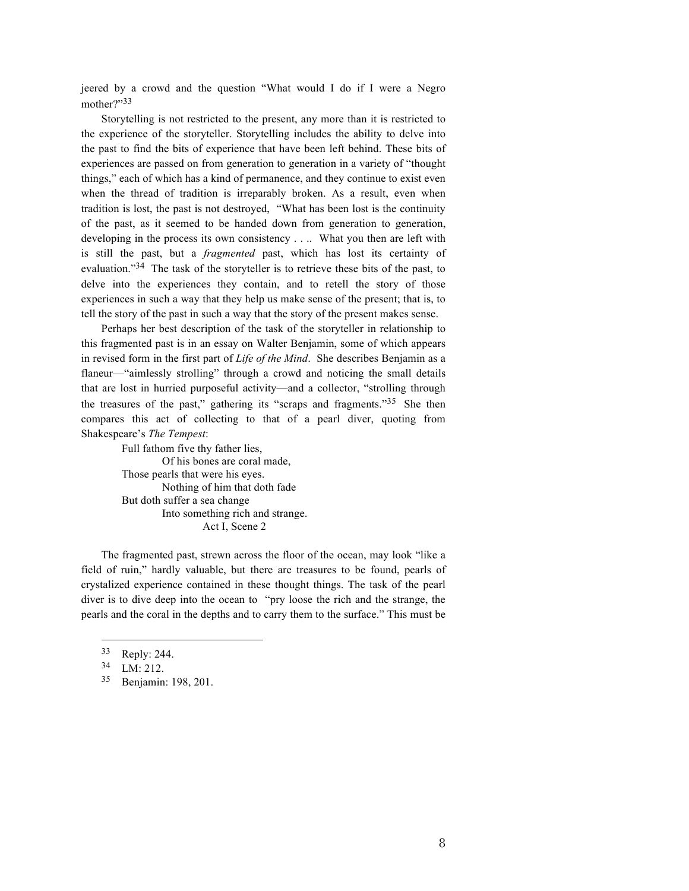jeered by a crowd and the question "What would I do if I were a Negro mother?"33

Storytelling is not restricted to the present, any more than it is restricted to the experience of the storyteller. Storytelling includes the ability to delve into the past to find the bits of experience that have been left behind. These bits of experiences are passed on from generation to generation in a variety of "thought things," each of which has a kind of permanence, and they continue to exist even when the thread of tradition is irreparably broken. As a result, even when tradition is lost, the past is not destroyed, "What has been lost is the continuity of the past, as it seemed to be handed down from generation to generation, developing in the process its own consistency . . .. What you then are left with is still the past, but a *fragmented* past, which has lost its certainty of evaluation."34 The task of the storyteller is to retrieve these bits of the past, to delve into the experiences they contain, and to retell the story of those experiences in such a way that they help us make sense of the present; that is, to tell the story of the past in such a way that the story of the present makes sense.

Perhaps her best description of the task of the storyteller in relationship to this fragmented past is in an essay on Walter Benjamin, some of which appears in revised form in the first part of *Life of the Mind*. She describes Benjamin as a flaneur—"aimlessly strolling" through a crowd and noticing the small details that are lost in hurried purposeful activity—and a collector, "strolling through the treasures of the past," gathering its "scraps and fragments."35 She then compares this act of collecting to that of a pearl diver, quoting from Shakespeare's *The Tempest*:

> Full fathom five thy father lies, Of his bones are coral made, Those pearls that were his eyes. Nothing of him that doth fade But doth suffer a sea change Into something rich and strange. Act I, Scene 2

The fragmented past, strewn across the floor of the ocean, may look "like a field of ruin," hardly valuable, but there are treasures to be found, pearls of crystalized experience contained in these thought things. The task of the pearl diver is to dive deep into the ocean to "pry loose the rich and the strange, the pearls and the coral in the depths and to carry them to the surface." This must be

<sup>33</sup> Reply: 244.

<sup>34</sup> LM: 212.

<sup>35</sup> Benjamin: 198, 201.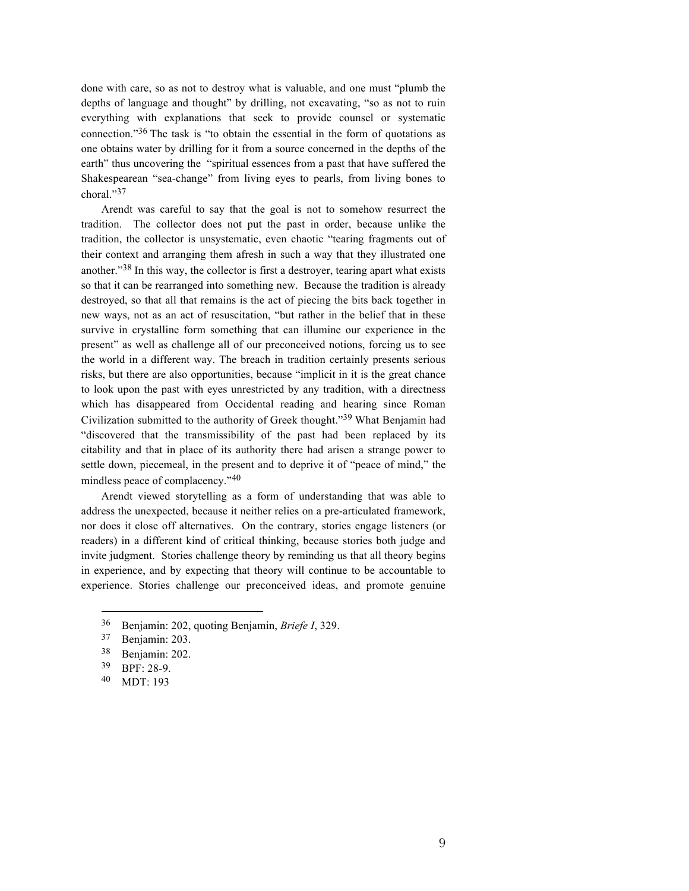done with care, so as not to destroy what is valuable, and one must "plumb the depths of language and thought" by drilling, not excavating, "so as not to ruin everything with explanations that seek to provide counsel or systematic connection."<sup>36</sup> The task is "to obtain the essential in the form of quotations as one obtains water by drilling for it from a source concerned in the depths of the earth" thus uncovering the "spiritual essences from a past that have suffered the Shakespearean "sea-change" from living eyes to pearls, from living bones to choral."<sup>37</sup>

Arendt was careful to say that the goal is not to somehow resurrect the tradition. The collector does not put the past in order, because unlike the tradition, the collector is unsystematic, even chaotic "tearing fragments out of their context and arranging them afresh in such a way that they illustrated one another."<sup>38</sup> In this way, the collector is first a destroyer, tearing apart what exists so that it can be rearranged into something new. Because the tradition is already destroyed, so that all that remains is the act of piecing the bits back together in new ways, not as an act of resuscitation, "but rather in the belief that in these survive in crystalline form something that can illumine our experience in the present" as well as challenge all of our preconceived notions, forcing us to see the world in a different way. The breach in tradition certainly presents serious risks, but there are also opportunities, because "implicit in it is the great chance to look upon the past with eyes unrestricted by any tradition, with a directness which has disappeared from Occidental reading and hearing since Roman Civilization submitted to the authority of Greek thought."39 What Benjamin had "discovered that the transmissibility of the past had been replaced by its citability and that in place of its authority there had arisen a strange power to settle down, piecemeal, in the present and to deprive it of "peace of mind," the mindless peace of complacency."40

Arendt viewed storytelling as a form of understanding that was able to address the unexpected, because it neither relies on a pre-articulated framework, nor does it close off alternatives. On the contrary, stories engage listeners (or readers) in a different kind of critical thinking, because stories both judge and invite judgment. Stories challenge theory by reminding us that all theory begins in experience, and by expecting that theory will continue to be accountable to experience. Stories challenge our preconceived ideas, and promote genuine

39 BPF: 28-9.

 $\overline{a}$ 

<sup>40</sup> MDT: 193

<sup>36</sup> Benjamin: 202, quoting Benjamin, *Briefe I*, 329.

Benjamin: 203.

<sup>38</sup> Benjamin: 202.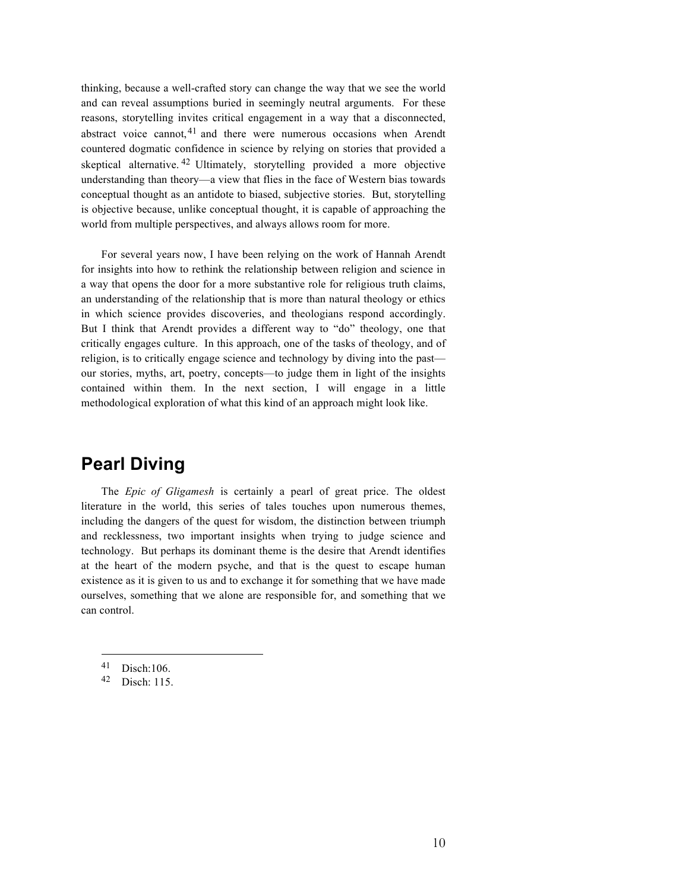thinking, because a well-crafted story can change the way that we see the world and can reveal assumptions buried in seemingly neutral arguments. For these reasons, storytelling invites critical engagement in a way that a disconnected, abstract voice cannot,  $41$  and there were numerous occasions when Arendt countered dogmatic confidence in science by relying on stories that provided a skeptical alternative. <sup>42</sup> Ultimately, storytelling provided a more objective understanding than theory—a view that flies in the face of Western bias towards conceptual thought as an antidote to biased, subjective stories. But, storytelling is objective because, unlike conceptual thought, it is capable of approaching the world from multiple perspectives, and always allows room for more.

For several years now, I have been relying on the work of Hannah Arendt for insights into how to rethink the relationship between religion and science in a way that opens the door for a more substantive role for religious truth claims, an understanding of the relationship that is more than natural theology or ethics in which science provides discoveries, and theologians respond accordingly. But I think that Arendt provides a different way to "do" theology, one that critically engages culture. In this approach, one of the tasks of theology, and of religion, is to critically engage science and technology by diving into the past our stories, myths, art, poetry, concepts—to judge them in light of the insights contained within them. In the next section, I will engage in a little methodological exploration of what this kind of an approach might look like.

### **Pearl Diving**

The *Epic of Gligamesh* is certainly a pearl of great price. The oldest literature in the world, this series of tales touches upon numerous themes, including the dangers of the quest for wisdom, the distinction between triumph and recklessness, two important insights when trying to judge science and technology. But perhaps its dominant theme is the desire that Arendt identifies at the heart of the modern psyche, and that is the quest to escape human existence as it is given to us and to exchange it for something that we have made ourselves, something that we alone are responsible for, and something that we can control.

<sup>41</sup> Disch:106.

<sup>42</sup> Disch: 115.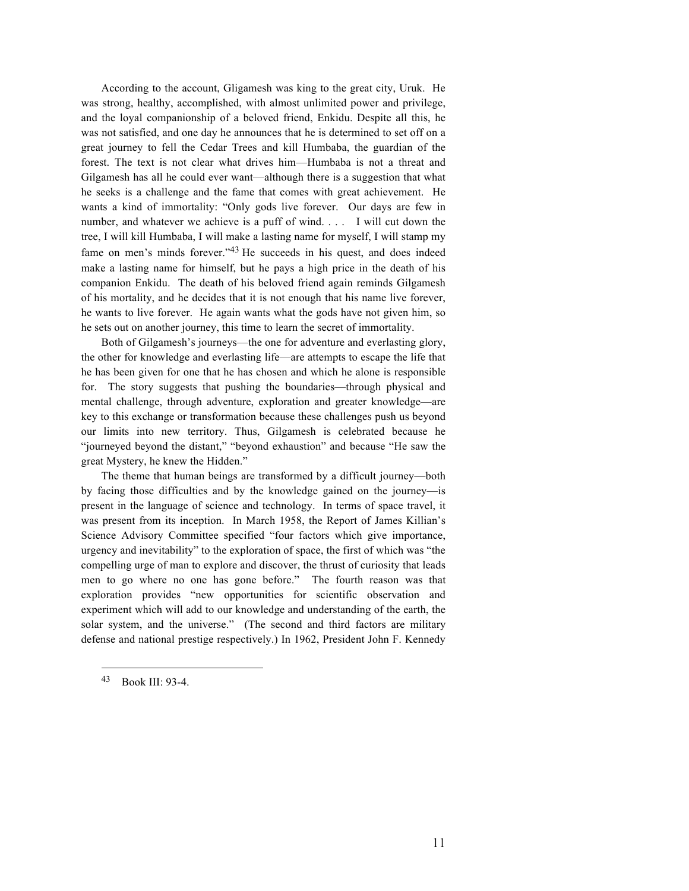According to the account, Gligamesh was king to the great city, Uruk. He was strong, healthy, accomplished, with almost unlimited power and privilege, and the loyal companionship of a beloved friend, Enkidu. Despite all this, he was not satisfied, and one day he announces that he is determined to set off on a great journey to fell the Cedar Trees and kill Humbaba, the guardian of the forest. The text is not clear what drives him—Humbaba is not a threat and Gilgamesh has all he could ever want—although there is a suggestion that what he seeks is a challenge and the fame that comes with great achievement. He wants a kind of immortality: "Only gods live forever. Our days are few in number, and whatever we achieve is a puff of wind. . . . I will cut down the tree, I will kill Humbaba, I will make a lasting name for myself, I will stamp my fame on men's minds forever."43 He succeeds in his quest, and does indeed make a lasting name for himself, but he pays a high price in the death of his companion Enkidu. The death of his beloved friend again reminds Gilgamesh of his mortality, and he decides that it is not enough that his name live forever, he wants to live forever. He again wants what the gods have not given him, so he sets out on another journey, this time to learn the secret of immortality.

Both of Gilgamesh's journeys—the one for adventure and everlasting glory, the other for knowledge and everlasting life—are attempts to escape the life that he has been given for one that he has chosen and which he alone is responsible for. The story suggests that pushing the boundaries—through physical and mental challenge, through adventure, exploration and greater knowledge—are key to this exchange or transformation because these challenges push us beyond our limits into new territory. Thus, Gilgamesh is celebrated because he "journeyed beyond the distant," "beyond exhaustion" and because "He saw the great Mystery, he knew the Hidden."

The theme that human beings are transformed by a difficult journey—both by facing those difficulties and by the knowledge gained on the journey—is present in the language of science and technology. In terms of space travel, it was present from its inception. In March 1958, the Report of James Killian's Science Advisory Committee specified "four factors which give importance, urgency and inevitability" to the exploration of space, the first of which was "the compelling urge of man to explore and discover, the thrust of curiosity that leads men to go where no one has gone before." The fourth reason was that exploration provides "new opportunities for scientific observation and experiment which will add to our knowledge and understanding of the earth, the solar system, and the universe." (The second and third factors are military defense and national prestige respectively.) In 1962, President John F. Kennedy

<sup>43</sup> Book III: 93-4.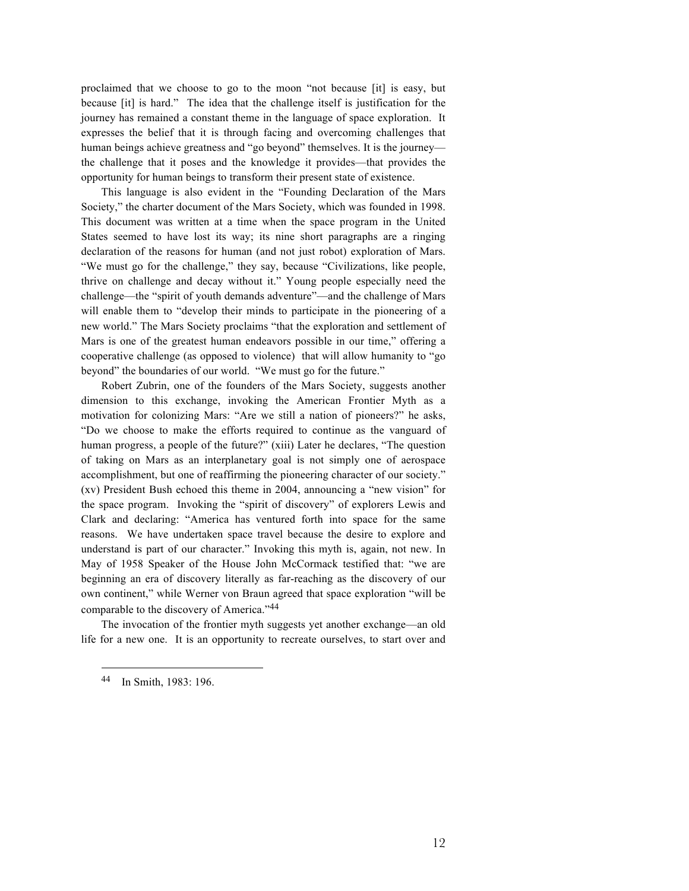proclaimed that we choose to go to the moon "not because [it] is easy, but because [it] is hard." The idea that the challenge itself is justification for the journey has remained a constant theme in the language of space exploration. It expresses the belief that it is through facing and overcoming challenges that human beings achieve greatness and "go beyond" themselves. It is the journey the challenge that it poses and the knowledge it provides—that provides the opportunity for human beings to transform their present state of existence.

This language is also evident in the "Founding Declaration of the Mars Society," the charter document of the Mars Society, which was founded in 1998. This document was written at a time when the space program in the United States seemed to have lost its way; its nine short paragraphs are a ringing declaration of the reasons for human (and not just robot) exploration of Mars. "We must go for the challenge," they say, because "Civilizations, like people, thrive on challenge and decay without it." Young people especially need the challenge—the "spirit of youth demands adventure"—and the challenge of Mars will enable them to "develop their minds to participate in the pioneering of a new world." The Mars Society proclaims "that the exploration and settlement of Mars is one of the greatest human endeavors possible in our time," offering a cooperative challenge (as opposed to violence) that will allow humanity to "go beyond" the boundaries of our world. "We must go for the future."

Robert Zubrin, one of the founders of the Mars Society, suggests another dimension to this exchange, invoking the American Frontier Myth as a motivation for colonizing Mars: "Are we still a nation of pioneers?" he asks, "Do we choose to make the efforts required to continue as the vanguard of human progress, a people of the future?" (xiii) Later he declares, "The question of taking on Mars as an interplanetary goal is not simply one of aerospace accomplishment, but one of reaffirming the pioneering character of our society." (xv) President Bush echoed this theme in 2004, announcing a "new vision" for the space program. Invoking the "spirit of discovery" of explorers Lewis and Clark and declaring: "America has ventured forth into space for the same reasons. We have undertaken space travel because the desire to explore and understand is part of our character." Invoking this myth is, again, not new. In May of 1958 Speaker of the House John McCormack testified that: "we are beginning an era of discovery literally as far-reaching as the discovery of our own continent," while Werner von Braun agreed that space exploration "will be comparable to the discovery of America."<sup>44</sup>

The invocation of the frontier myth suggests yet another exchange—an old life for a new one. It is an opportunity to recreate ourselves, to start over and

<sup>44</sup> In Smith, 1983: 196.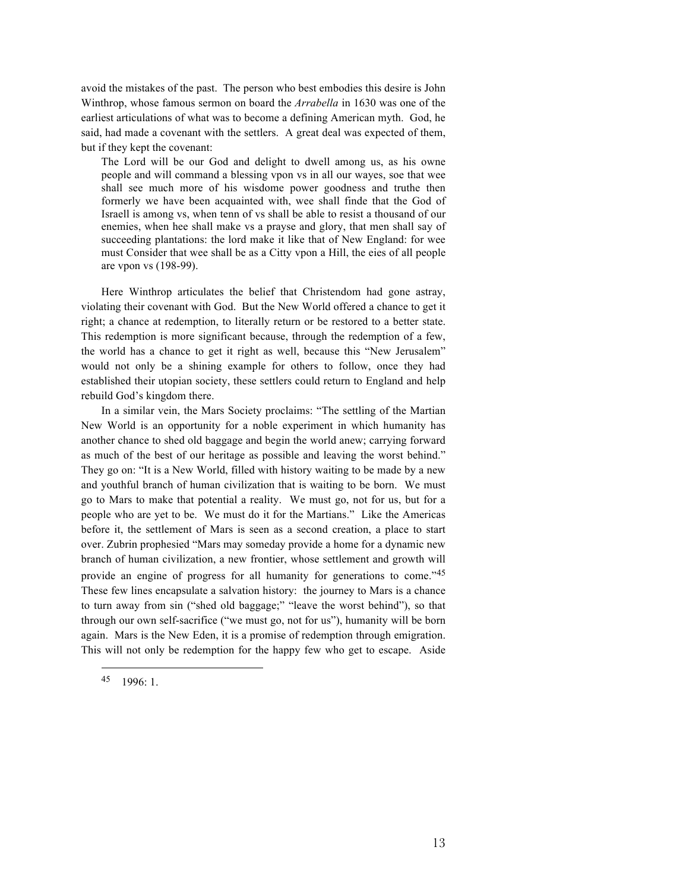avoid the mistakes of the past. The person who best embodies this desire is John Winthrop, whose famous sermon on board the *Arrabella* in 1630 was one of the earliest articulations of what was to become a defining American myth. God, he said, had made a covenant with the settlers. A great deal was expected of them, but if they kept the covenant:

The Lord will be our God and delight to dwell among us, as his owne people and will command a blessing vpon vs in all our wayes, soe that wee shall see much more of his wisdome power goodness and truthe then formerly we have been acquainted with, wee shall finde that the God of Israell is among vs, when tenn of vs shall be able to resist a thousand of our enemies, when hee shall make vs a prayse and glory, that men shall say of succeeding plantations: the lord make it like that of New England: for wee must Consider that wee shall be as a Citty vpon a Hill, the eies of all people are vpon vs (198-99).

Here Winthrop articulates the belief that Christendom had gone astray, violating their covenant with God. But the New World offered a chance to get it right; a chance at redemption, to literally return or be restored to a better state. This redemption is more significant because, through the redemption of a few, the world has a chance to get it right as well, because this "New Jerusalem" would not only be a shining example for others to follow, once they had established their utopian society, these settlers could return to England and help rebuild God's kingdom there.

In a similar vein, the Mars Society proclaims: "The settling of the Martian New World is an opportunity for a noble experiment in which humanity has another chance to shed old baggage and begin the world anew; carrying forward as much of the best of our heritage as possible and leaving the worst behind." They go on: "It is a New World, filled with history waiting to be made by a new and youthful branch of human civilization that is waiting to be born. We must go to Mars to make that potential a reality. We must go, not for us, but for a people who are yet to be. We must do it for the Martians." Like the Americas before it, the settlement of Mars is seen as a second creation, a place to start over. Zubrin prophesied "Mars may someday provide a home for a dynamic new branch of human civilization, a new frontier, whose settlement and growth will provide an engine of progress for all humanity for generations to come."<sup>45</sup> These few lines encapsulate a salvation history: the journey to Mars is a chance to turn away from sin ("shed old baggage;" "leave the worst behind"), so that through our own self-sacrifice ("we must go, not for us"), humanity will be born again. Mars is the New Eden, it is a promise of redemption through emigration. This will not only be redemption for the happy few who get to escape. Aside

<sup>45</sup> 1996: 1.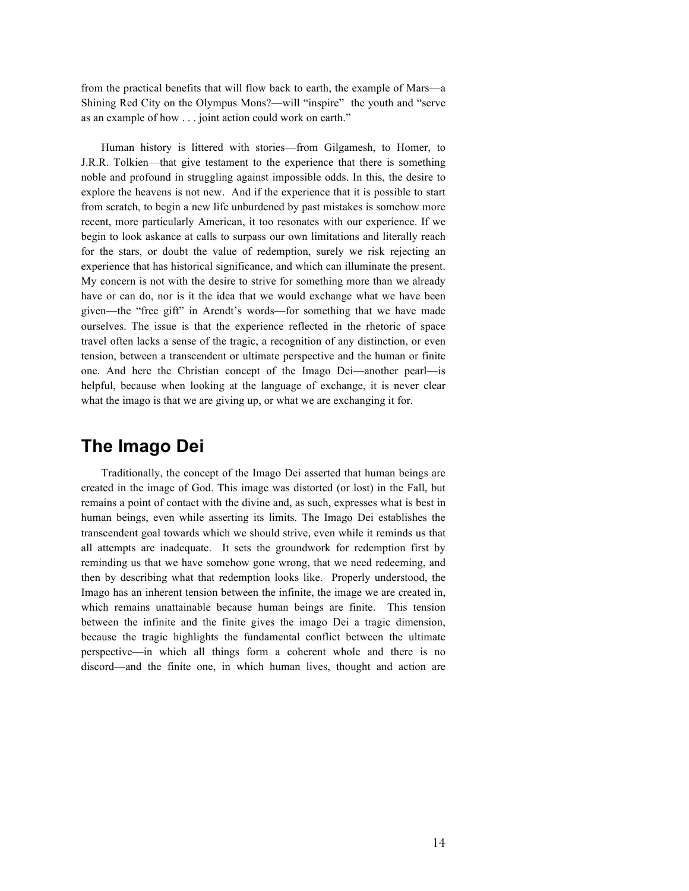from the practical benefits that will flow back to earth, the example of Mars—a Shining Red City on the Olympus Mons?—will "inspire" the youth and "serve as an example of how . . . joint action could work on earth."

Human history is littered with stories—from Gilgamesh, to Homer, to J.R.R. Tolkien—that give testament to the experience that there is something noble and profound in struggling against impossible odds. In this, the desire to explore the heavens is not new. And if the experience that it is possible to start from scratch, to begin a new life unburdened by past mistakes is somehow more recent, more particularly American, it too resonates with our experience. If we begin to look askance at calls to surpass our own limitations and literally reach for the stars, or doubt the value of redemption, surely we risk rejecting an experience that has historical significance, and which can illuminate the present. My concern is not with the desire to strive for something more than we already have or can do, nor is it the idea that we would exchange what we have been given—the "free gift" in Arendt's words—for something that we have made ourselves. The issue is that the experience reflected in the rhetoric of space travel often lacks a sense of the tragic, a recognition of any distinction, or even tension, between a transcendent or ultimate perspective and the human or finite one. And here the Christian concept of the Imago Dei—another pearl—is helpful, because when looking at the language of exchange, it is never clear what the imago is that we are giving up, or what we are exchanging it for.

## **The Imago Dei**

Traditionally, the concept of the Imago Dei asserted that human beings are created in the image of God. This image was distorted (or lost) in the Fall, but remains a point of contact with the divine and, as such, expresses what is best in human beings, even while asserting its limits. The Imago Dei establishes the transcendent goal towards which we should strive, even while it reminds us that all attempts are inadequate. It sets the groundwork for redemption first by reminding us that we have somehow gone wrong, that we need redeeming, and then by describing what that redemption looks like. Properly understood, the Imago has an inherent tension between the infinite, the image we are created in, which remains unattainable because human beings are finite. This tension between the infinite and the finite gives the imago Dei a tragic dimension, because the tragic highlights the fundamental conflict between the ultimate perspective—in which all things form a coherent whole and there is no discord—and the finite one, in which human lives, thought and action are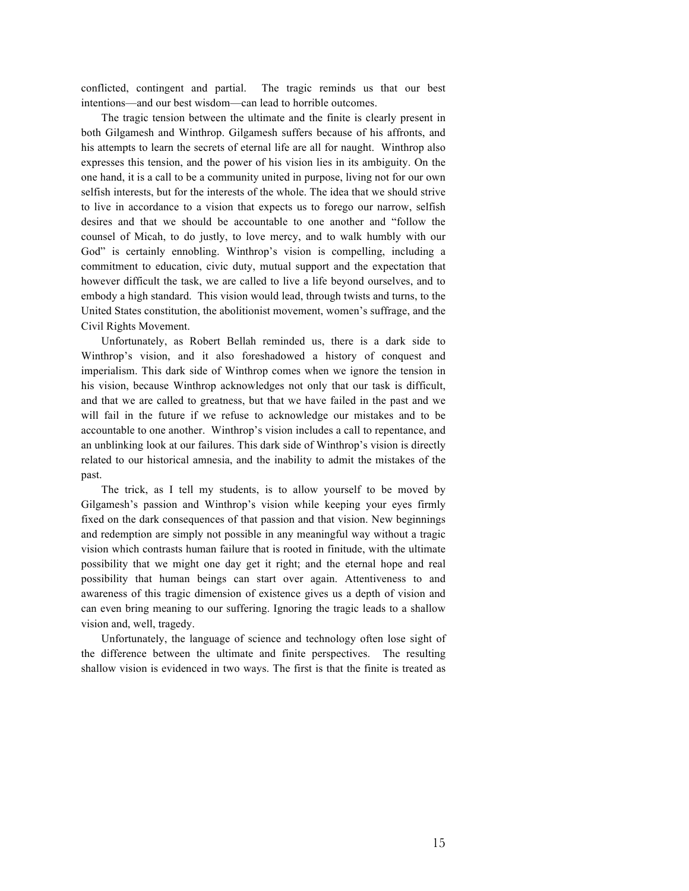conflicted, contingent and partial. The tragic reminds us that our best intentions—and our best wisdom—can lead to horrible outcomes.

The tragic tension between the ultimate and the finite is clearly present in both Gilgamesh and Winthrop. Gilgamesh suffers because of his affronts, and his attempts to learn the secrets of eternal life are all for naught. Winthrop also expresses this tension, and the power of his vision lies in its ambiguity. On the one hand, it is a call to be a community united in purpose, living not for our own selfish interests, but for the interests of the whole. The idea that we should strive to live in accordance to a vision that expects us to forego our narrow, selfish desires and that we should be accountable to one another and "follow the counsel of Micah, to do justly, to love mercy, and to walk humbly with our God" is certainly ennobling. Winthrop's vision is compelling, including a commitment to education, civic duty, mutual support and the expectation that however difficult the task, we are called to live a life beyond ourselves, and to embody a high standard. This vision would lead, through twists and turns, to the United States constitution, the abolitionist movement, women's suffrage, and the Civil Rights Movement.

Unfortunately, as Robert Bellah reminded us, there is a dark side to Winthrop's vision, and it also foreshadowed a history of conquest and imperialism. This dark side of Winthrop comes when we ignore the tension in his vision, because Winthrop acknowledges not only that our task is difficult, and that we are called to greatness, but that we have failed in the past and we will fail in the future if we refuse to acknowledge our mistakes and to be accountable to one another. Winthrop's vision includes a call to repentance, and an unblinking look at our failures. This dark side of Winthrop's vision is directly related to our historical amnesia, and the inability to admit the mistakes of the past.

The trick, as I tell my students, is to allow yourself to be moved by Gilgamesh's passion and Winthrop's vision while keeping your eyes firmly fixed on the dark consequences of that passion and that vision. New beginnings and redemption are simply not possible in any meaningful way without a tragic vision which contrasts human failure that is rooted in finitude, with the ultimate possibility that we might one day get it right; and the eternal hope and real possibility that human beings can start over again. Attentiveness to and awareness of this tragic dimension of existence gives us a depth of vision and can even bring meaning to our suffering. Ignoring the tragic leads to a shallow vision and, well, tragedy.

Unfortunately, the language of science and technology often lose sight of the difference between the ultimate and finite perspectives. The resulting shallow vision is evidenced in two ways. The first is that the finite is treated as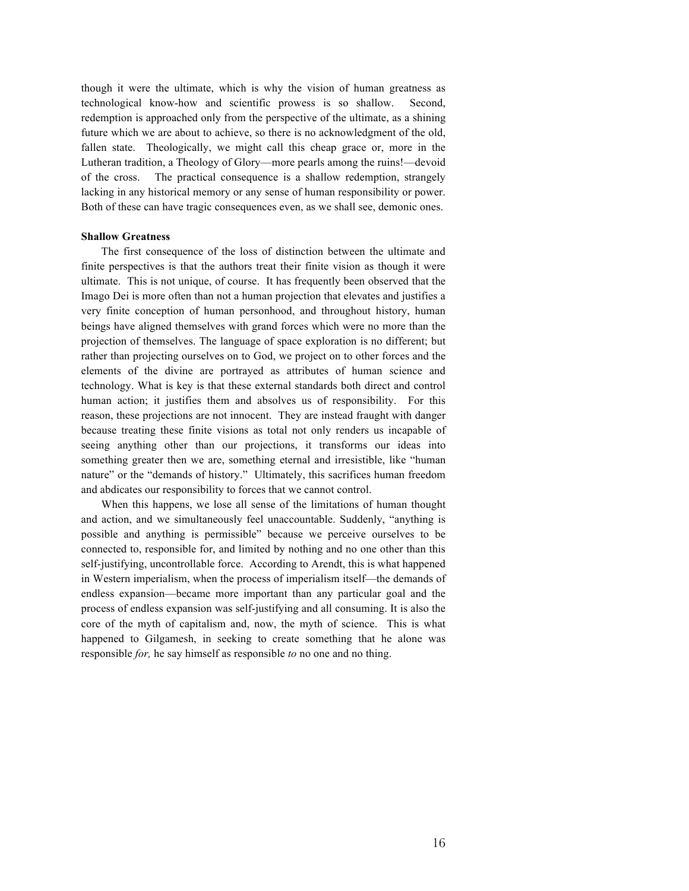though it were the ultimate, which is why the vision of human greatness as technological know-how and scientific prowess is so shallow. Second, redemption is approached only from the perspective of the ultimate, as a shining future which we are about to achieve, so there is no acknowledgment of the old, fallen state. Theologically, we might call this cheap grace or, more in the Lutheran tradition, a Theology of Glory—more pearls among the ruins!—devoid of the cross. The practical consequence is a shallow redemption, strangely lacking in any historical memory or any sense of human responsibility or power. Both of these can have tragic consequences even, as we shall see, demonic ones.

#### **Shallow Greatness**

The first consequence of the loss of distinction between the ultimate and finite perspectives is that the authors treat their finite vision as though it were ultimate. This is not unique, of course. It has frequently been observed that the Imago Dei is more often than not a human projection that elevates and justifies a very finite conception of human personhood, and throughout history, human beings have aligned themselves with grand forces which were no more than the projection of themselves. The language of space exploration is no different; but rather than projecting ourselves on to God, we project on to other forces and the elements of the divine are portrayed as attributes of human science and technology. What is key is that these external standards both direct and control human action; it justifies them and absolves us of responsibility. For this reason, these projections are not innocent. They are instead fraught with danger because treating these finite visions as total not only renders us incapable of seeing anything other than our projections, it transforms our ideas into something greater then we are, something eternal and irresistible, like "human nature" or the "demands of history." Ultimately, this sacrifices human freedom and abdicates our responsibility to forces that we cannot control.

When this happens, we lose all sense of the limitations of human thought and action, and we simultaneously feel unaccountable. Suddenly, "anything is possible and anything is permissible" because we perceive ourselves to be connected to, responsible for, and limited by nothing and no one other than this self-justifying, uncontrollable force. According to Arendt, this is what happened in Western imperialism, when the process of imperialism itself—the demands of endless expansion—became more important than any particular goal and the process of endless expansion was self-justifying and all consuming. It is also the core of the myth of capitalism and, now, the myth of science. This is what happened to Gilgamesh, in seeking to create something that he alone was responsible *for,* he say himself as responsible *to* no one and no thing.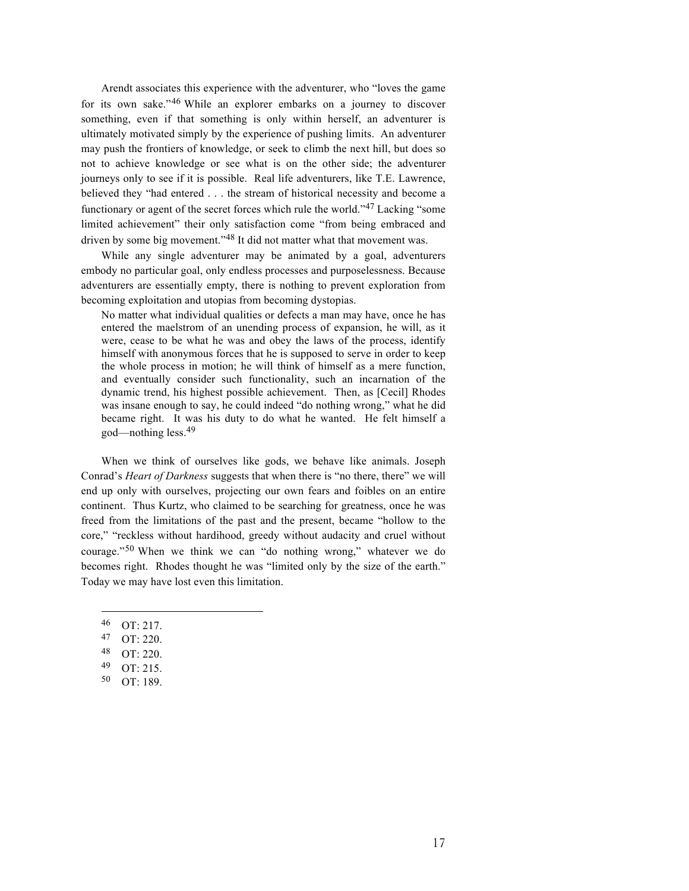Arendt associates this experience with the adventurer, who "loves the game for its own sake."46 While an explorer embarks on a journey to discover something, even if that something is only within herself, an adventurer is ultimately motivated simply by the experience of pushing limits. An adventurer may push the frontiers of knowledge, or seek to climb the next hill, but does so not to achieve knowledge or see what is on the other side; the adventurer journeys only to see if it is possible. Real life adventurers, like T.E. Lawrence, believed they "had entered . . . the stream of historical necessity and become a functionary or agent of the secret forces which rule the world."47 Lacking "some limited achievement" their only satisfaction come "from being embraced and driven by some big movement."48 It did not matter what that movement was.

While any single adventurer may be animated by a goal, adventurers embody no particular goal, only endless processes and purposelessness. Because adventurers are essentially empty, there is nothing to prevent exploration from becoming exploitation and utopias from becoming dystopias.

No matter what individual qualities or defects a man may have, once he has entered the maelstrom of an unending process of expansion, he will, as it were, cease to be what he was and obey the laws of the process, identify himself with anonymous forces that he is supposed to serve in order to keep the whole process in motion; he will think of himself as a mere function, and eventually consider such functionality, such an incarnation of the dynamic trend, his highest possible achievement. Then, as [Cecil] Rhodes was insane enough to say, he could indeed "do nothing wrong," what he did became right. It was his duty to do what he wanted. He felt himself a god—nothing less.<sup>49</sup>

When we think of ourselves like gods, we behave like animals. Joseph Conrad's *Heart of Darkness* suggests that when there is "no there, there" we will end up only with ourselves, projecting our own fears and foibles on an entire continent. Thus Kurtz, who claimed to be searching for greatness, once he was freed from the limitations of the past and the present, became "hollow to the core," "reckless without hardihood, greedy without audacity and cruel without courage."50 When we think we can "do nothing wrong," whatever we do becomes right. Rhodes thought he was "limited only by the size of the earth." Today we may have lost even this limitation.

 $\frac{46}{47}$  OT: 217.

- OT: 220.
- <sup>48</sup> OT: 220.
- <sup>49</sup> OT: 215.
- <sup>50</sup> OT: 189.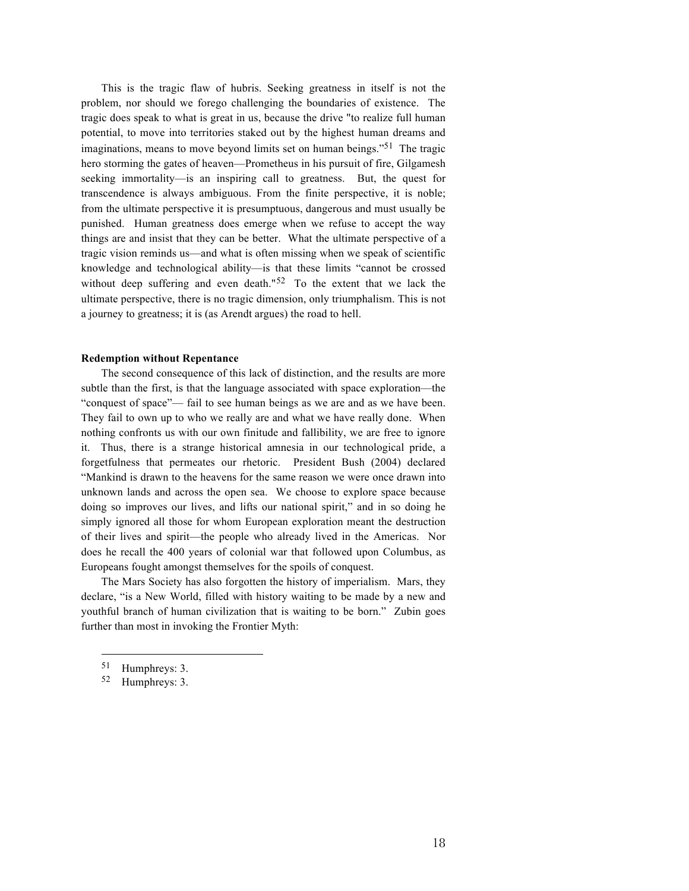This is the tragic flaw of hubris. Seeking greatness in itself is not the problem, nor should we forego challenging the boundaries of existence. The tragic does speak to what is great in us, because the drive "to realize full human potential, to move into territories staked out by the highest human dreams and imaginations, means to move beyond limits set on human beings."<sup>51</sup> The tragic hero storming the gates of heaven—Prometheus in his pursuit of fire, Gilgamesh seeking immortality—is an inspiring call to greatness. But, the quest for transcendence is always ambiguous. From the finite perspective, it is noble; from the ultimate perspective it is presumptuous, dangerous and must usually be punished. Human greatness does emerge when we refuse to accept the way things are and insist that they can be better. What the ultimate perspective of a tragic vision reminds us—and what is often missing when we speak of scientific knowledge and technological ability—is that these limits "cannot be crossed without deep suffering and even death."<sup>52</sup> To the extent that we lack the ultimate perspective, there is no tragic dimension, only triumphalism. This is not a journey to greatness; it is (as Arendt argues) the road to hell.

#### **Redemption without Repentance**

The second consequence of this lack of distinction, and the results are more subtle than the first, is that the language associated with space exploration—the "conquest of space"— fail to see human beings as we are and as we have been. They fail to own up to who we really are and what we have really done. When nothing confronts us with our own finitude and fallibility, we are free to ignore it. Thus, there is a strange historical amnesia in our technological pride, a forgetfulness that permeates our rhetoric. President Bush (2004) declared "Mankind is drawn to the heavens for the same reason we were once drawn into unknown lands and across the open sea. We choose to explore space because doing so improves our lives, and lifts our national spirit," and in so doing he simply ignored all those for whom European exploration meant the destruction of their lives and spirit—the people who already lived in the Americas. Nor does he recall the 400 years of colonial war that followed upon Columbus, as Europeans fought amongst themselves for the spoils of conquest.

The Mars Society has also forgotten the history of imperialism. Mars, they declare, "is a New World, filled with history waiting to be made by a new and youthful branch of human civilization that is waiting to be born." Zubin goes further than most in invoking the Frontier Myth:

<sup>51</sup> Humphreys: 3.

<sup>52</sup> Humphreys: 3.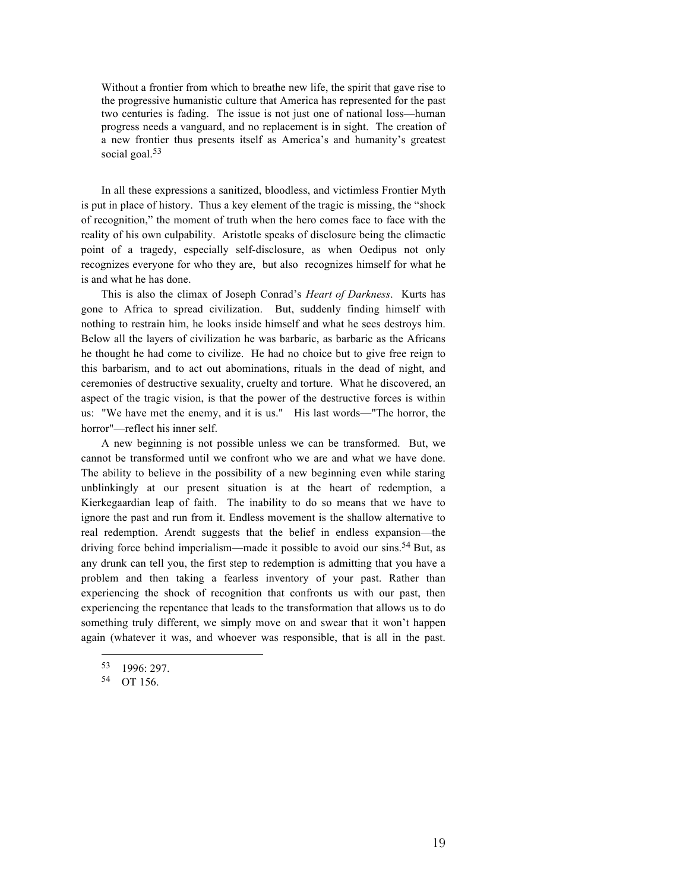Without a frontier from which to breathe new life, the spirit that gave rise to the progressive humanistic culture that America has represented for the past two centuries is fading. The issue is not just one of national loss—human progress needs a vanguard, and no replacement is in sight. The creation of a new frontier thus presents itself as America's and humanity's greatest social goal.<sup>53</sup>

In all these expressions a sanitized, bloodless, and victimless Frontier Myth is put in place of history. Thus a key element of the tragic is missing, the "shock of recognition," the moment of truth when the hero comes face to face with the reality of his own culpability. Aristotle speaks of disclosure being the climactic point of a tragedy, especially self-disclosure, as when Oedipus not only recognizes everyone for who they are, but also recognizes himself for what he is and what he has done.

This is also the climax of Joseph Conrad's *Heart of Darkness*. Kurts has gone to Africa to spread civilization. But, suddenly finding himself with nothing to restrain him, he looks inside himself and what he sees destroys him. Below all the layers of civilization he was barbaric, as barbaric as the Africans he thought he had come to civilize. He had no choice but to give free reign to this barbarism, and to act out abominations, rituals in the dead of night, and ceremonies of destructive sexuality, cruelty and torture. What he discovered, an aspect of the tragic vision, is that the power of the destructive forces is within us: "We have met the enemy, and it is us." His last words—"The horror, the horror"—reflect his inner self.

A new beginning is not possible unless we can be transformed. But, we cannot be transformed until we confront who we are and what we have done. The ability to believe in the possibility of a new beginning even while staring unblinkingly at our present situation is at the heart of redemption, a Kierkegaardian leap of faith. The inability to do so means that we have to ignore the past and run from it. Endless movement is the shallow alternative to real redemption. Arendt suggests that the belief in endless expansion—the driving force behind imperialism—made it possible to avoid our sins.<sup>54</sup> But, as any drunk can tell you, the first step to redemption is admitting that you have a problem and then taking a fearless inventory of your past. Rather than experiencing the shock of recognition that confronts us with our past, then experiencing the repentance that leads to the transformation that allows us to do something truly different, we simply move on and swear that it won't happen again (whatever it was, and whoever was responsible, that is all in the past.

<sup>53</sup> 1996: 297.

<sup>54</sup> OT 156.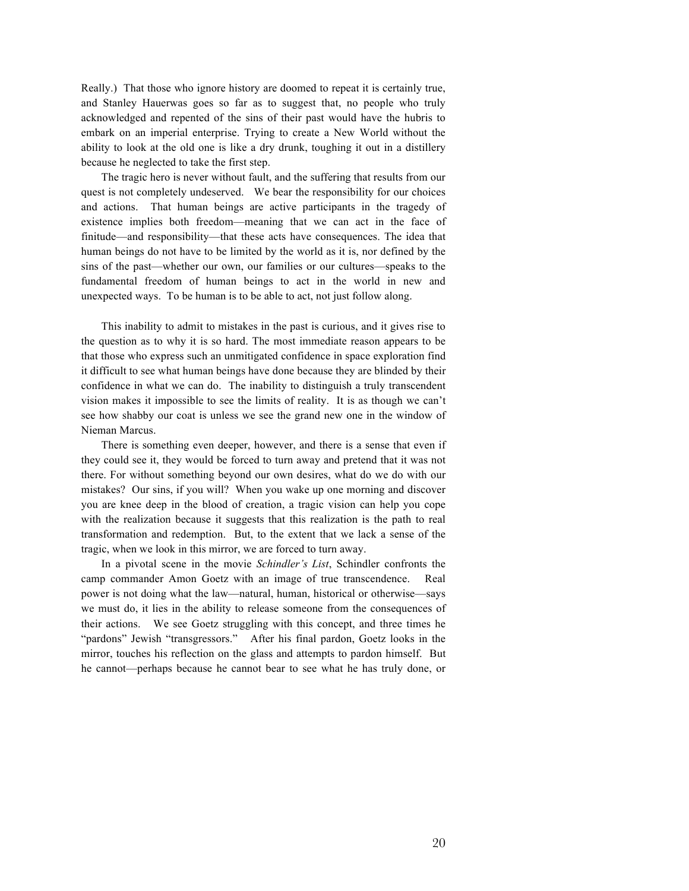Really.) That those who ignore history are doomed to repeat it is certainly true, and Stanley Hauerwas goes so far as to suggest that, no people who truly acknowledged and repented of the sins of their past would have the hubris to embark on an imperial enterprise. Trying to create a New World without the ability to look at the old one is like a dry drunk, toughing it out in a distillery because he neglected to take the first step.

The tragic hero is never without fault, and the suffering that results from our quest is not completely undeserved. We bear the responsibility for our choices and actions. That human beings are active participants in the tragedy of existence implies both freedom—meaning that we can act in the face of finitude—and responsibility—that these acts have consequences. The idea that human beings do not have to be limited by the world as it is, nor defined by the sins of the past—whether our own, our families or our cultures—speaks to the fundamental freedom of human beings to act in the world in new and unexpected ways. To be human is to be able to act, not just follow along.

This inability to admit to mistakes in the past is curious, and it gives rise to the question as to why it is so hard. The most immediate reason appears to be that those who express such an unmitigated confidence in space exploration find it difficult to see what human beings have done because they are blinded by their confidence in what we can do. The inability to distinguish a truly transcendent vision makes it impossible to see the limits of reality. It is as though we can't see how shabby our coat is unless we see the grand new one in the window of Nieman Marcus.

There is something even deeper, however, and there is a sense that even if they could see it, they would be forced to turn away and pretend that it was not there. For without something beyond our own desires, what do we do with our mistakes? Our sins, if you will? When you wake up one morning and discover you are knee deep in the blood of creation, a tragic vision can help you cope with the realization because it suggests that this realization is the path to real transformation and redemption. But, to the extent that we lack a sense of the tragic, when we look in this mirror, we are forced to turn away.

In a pivotal scene in the movie *Schindler's List*, Schindler confronts the camp commander Amon Goetz with an image of true transcendence. Real power is not doing what the law—natural, human, historical or otherwise—says we must do, it lies in the ability to release someone from the consequences of their actions. We see Goetz struggling with this concept, and three times he "pardons" Jewish "transgressors." After his final pardon, Goetz looks in the mirror, touches his reflection on the glass and attempts to pardon himself. But he cannot—perhaps because he cannot bear to see what he has truly done, or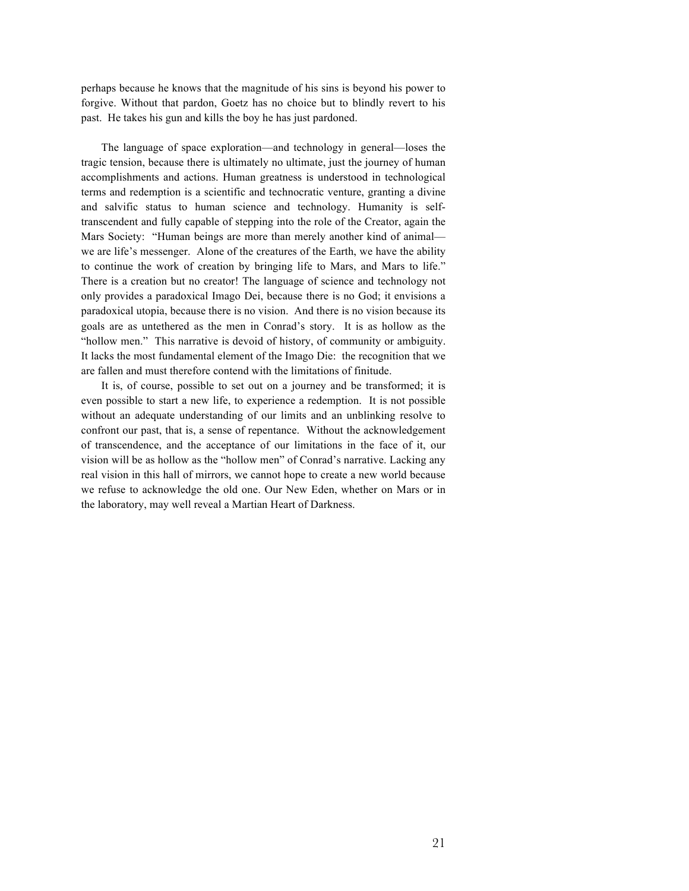perhaps because he knows that the magnitude of his sins is beyond his power to forgive. Without that pardon, Goetz has no choice but to blindly revert to his past. He takes his gun and kills the boy he has just pardoned.

The language of space exploration—and technology in general—loses the tragic tension, because there is ultimately no ultimate, just the journey of human accomplishments and actions. Human greatness is understood in technological terms and redemption is a scientific and technocratic venture, granting a divine and salvific status to human science and technology. Humanity is selftranscendent and fully capable of stepping into the role of the Creator, again the Mars Society: "Human beings are more than merely another kind of animal we are life's messenger. Alone of the creatures of the Earth, we have the ability to continue the work of creation by bringing life to Mars, and Mars to life." There is a creation but no creator! The language of science and technology not only provides a paradoxical Imago Dei, because there is no God; it envisions a paradoxical utopia, because there is no vision. And there is no vision because its goals are as untethered as the men in Conrad's story. It is as hollow as the "hollow men." This narrative is devoid of history, of community or ambiguity. It lacks the most fundamental element of the Imago Die: the recognition that we are fallen and must therefore contend with the limitations of finitude.

It is, of course, possible to set out on a journey and be transformed; it is even possible to start a new life, to experience a redemption. It is not possible without an adequate understanding of our limits and an unblinking resolve to confront our past, that is, a sense of repentance. Without the acknowledgement of transcendence, and the acceptance of our limitations in the face of it, our vision will be as hollow as the "hollow men" of Conrad's narrative. Lacking any real vision in this hall of mirrors, we cannot hope to create a new world because we refuse to acknowledge the old one. Our New Eden, whether on Mars or in the laboratory, may well reveal a Martian Heart of Darkness.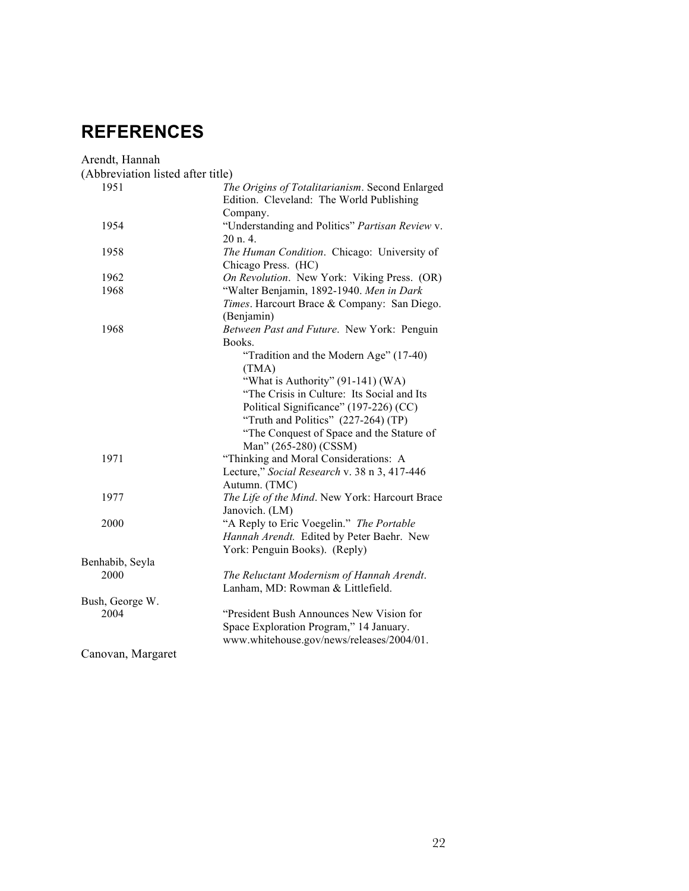# **REFERENCES**

### Arendt, Hannah (Abbreviation listed after title)

| 1951              | The Origins of Totalitarianism. Second Enlarged<br>Edition. Cleveland: The World Publishing<br>Company. |
|-------------------|---------------------------------------------------------------------------------------------------------|
| 1954              | "Understanding and Politics" Partisan Review v.<br>20 n. 4.                                             |
| 1958              | The Human Condition. Chicago: University of<br>Chicago Press. (HC)                                      |
| 1962              | On Revolution. New York: Viking Press. (OR)                                                             |
| 1968              | "Walter Benjamin, 1892-1940. Men in Dark                                                                |
|                   | Times. Harcourt Brace & Company: San Diego.<br>(Benjamin)                                               |
| 1968              | Between Past and Future. New York: Penguin                                                              |
|                   | Books.                                                                                                  |
|                   | "Tradition and the Modern Age" (17-40)<br>(TMA)                                                         |
|                   | "What is Authority" $(91-141)$ (WA)                                                                     |
|                   | "The Crisis in Culture: Its Social and Its                                                              |
|                   | Political Significance" (197-226) (CC)                                                                  |
|                   | "Truth and Politics" (227-264) (TP)                                                                     |
|                   | "The Conquest of Space and the Stature of                                                               |
|                   | Man" (265-280) (CSSM)                                                                                   |
| 1971              | "Thinking and Moral Considerations: A                                                                   |
|                   | Lecture," Social Research v. 38 n 3, 417-446                                                            |
|                   | Autumn. (TMC)                                                                                           |
| 1977              | The Life of the Mind. New York: Harcourt Brace                                                          |
|                   | Janovich. (LM)                                                                                          |
| 2000              | "A Reply to Eric Voegelin." The Portable                                                                |
|                   | Hannah Arendt. Edited by Peter Baehr. New                                                               |
|                   | York: Penguin Books). (Reply)                                                                           |
| Benhabib, Seyla   |                                                                                                         |
| 2000              | The Reluctant Modernism of Hannah Arendt.                                                               |
|                   | Lanham, MD: Rowman & Littlefield.                                                                       |
| Bush, George W.   |                                                                                                         |
| 2004              | "President Bush Announces New Vision for                                                                |
|                   | Space Exploration Program," 14 January.<br>www.whitehouse.gov/news/releases/2004/01.                    |
| Canovan, Margaret |                                                                                                         |